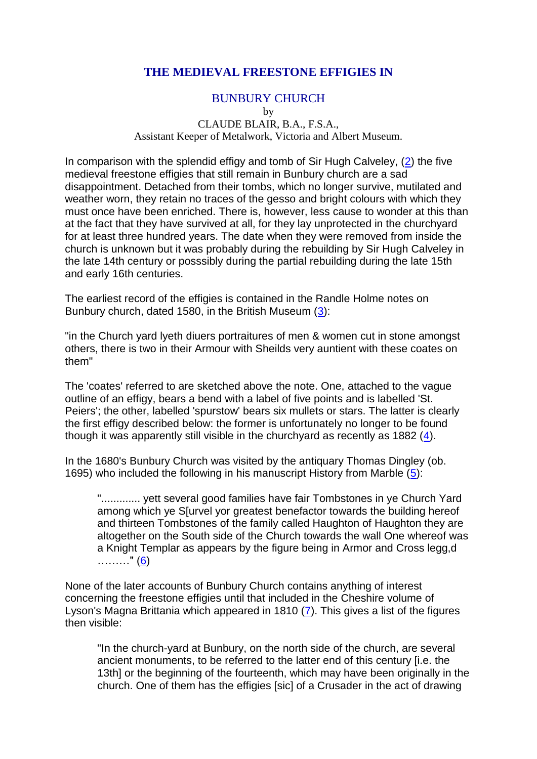## **THE MEDIEVAL FREESTONE EFFIGIES IN**

## BUNBURY CHURCH

by

### CLAUDE BLAIR, B.A., F.S.A., Assistant Keeper of Metalwork, Victoria and Albert Museum.

In comparison with the splendid effigy and tomb of Sir Hugh Calveley, [\(2\)](file:///C:/Users/matt/OneDrive/Documents/gemma/st%20boniface/Bunbury/papers/Effigies.htm%23anchor251152) the five medieval freestone effigies that still remain in Bunbury church are a sad disappointment. Detached from their tombs, which no longer survive, mutilated and weather worn, they retain no traces of the gesso and bright colours with which they must once have been enriched. There is, however, less cause to wonder at this than at the fact that they have survived at all, for they lay unprotected in the churchyard for at least three hundred years. The date when they were removed from inside the church is unknown but it was probably during the rebuilding by Sir Hugh Calveley in the late 14th century or posssibly during the partial rebuilding during the late 15th and early 16th centuries.

The earliest record of the effigies is contained in the Randle Holme notes on Bunbury church, dated 1580, in the British Museum [\(3\)](file:///C:/Users/matt/OneDrive/Documents/gemma/st%20boniface/Bunbury/papers/Effigies.htm%23anchor253870):

"in the Church yard lyeth diuers portraitures of men & women cut in stone amongst others, there is two in their Armour with Sheilds very auntient with these coates on them"

The 'coates' referred to are sketched above the note. One, attached to the vague outline of an effigy, bears a bend with a label of five points and is labelled 'St. Peiers'; the other, labelled 'spurstow' bears six mullets or stars. The latter is clearly the first effigy described below: the former is unfortunately no longer to be found though it was apparently still visible in the churchyard as recently as 1882 [\(4\)](file:///C:/Users/matt/OneDrive/Documents/gemma/st%20boniface/Bunbury/papers/Effigies.htm%23anchor256418).

In the 1680's Bunbury Church was visited by the antiquary Thomas Dingley (ob. 1695) who included the following in his manuscript History from Marble [\(5\)](file:///C:/Users/matt/OneDrive/Documents/gemma/st%20boniface/Bunbury/papers/Effigies.htm%23anchor258310):

"............. yett several good families have fair Tombstones in ye Church Yard among which ye S[urvel yor greatest benefactor towards the building hereof and thirteen Tombstones of the family called Haughton of Haughton they are altogether on the South side of the Church towards the wall One whereof was a Knight Templar as appears by the figure being in Armor and Cross legg,d ………" [\(6\)](file:///C:/Users/matt/OneDrive/Documents/gemma/st%20boniface/Bunbury/papers/Effigies.htm%23anchor260419)

None of the later accounts of Bunbury Church contains anything of interest concerning the freestone effigies until that included in the Cheshire volume of Lyson's Magna Brittania which appeared in 1810 [\(7\)](file:///C:/Users/matt/OneDrive/Documents/gemma/st%20boniface/Bunbury/papers/Effigies.htm%23anchor262278). This gives a list of the figures then visible:

"In the church-yard at Bunbury, on the north side of the church, are several ancient monuments, to be referred to the latter end of this century [i.e. the 13th] or the beginning of the fourteenth, which may have been originally in the church. One of them has the effigies [sic] of a Crusader in the act of drawing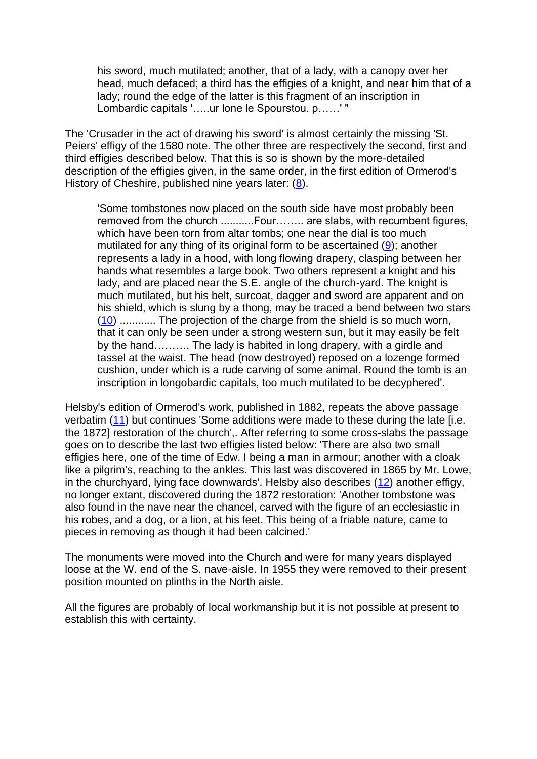his sword, much mutilated; another, that of a lady, with a canopy over her head, much defaced; a third has the effigies of a knight, and near him that of a lady; round the edge of the latter is this fragment of an inscription in Lombardic capitals '…..ur lone le Spourstou. p……' "

The 'Crusader in the act of drawing his sword' is almost certainly the missing 'St. Peiers' effigy of the 1580 note. The other three are respectively the second, first and third effigies described below. That this is so is shown by the more-detailed description of the effigies given, in the same order, in the first edition of Ormerod's History of Cheshire, published nine years later: [\(8\)](file:///C:/Users/matt/OneDrive/Documents/gemma/st%20boniface/Bunbury/papers/Effigies.htm%23anchor264077).

'Some tombstones now placed on the south side have most probably been removed from the church ............Four........ are slabs, with recumbent figures, which have been torn from altar tombs; one near the dial is too much mutilated for any thing of its original form to be ascertained [\(9\)](file:///C:/Users/matt/OneDrive/Documents/gemma/st%20boniface/Bunbury/papers/Effigies.htm%23anchor266014); another represents a lady in a hood, with long flowing drapery, clasping between her hands what resembles a large book. Two others represent a knight and his lady, and are placed near the S.E. angle of the church-yard. The knight is much mutilated, but his belt, surcoat, dagger and sword are apparent and on his shield, which is slung by a thong, may be traced a bend between two stars [\(10\)](file:///C:/Users/matt/OneDrive/Documents/gemma/st%20boniface/Bunbury/papers/Effigies.htm%23anchor267896) ............ The projection of the charge from the shield is so much worn, that it can only be seen under a strong western sun, but it may easily be felt by the hand………. The lady is habited in long drapery, with a girdle and tassel at the waist. The head (now destroyed) reposed on a lozenge formed cushion, under which is a rude carving of some animal. Round the tomb is an inscription in longobardic capitals, too much mutilated to be decyphered'.

Helsby's edition of Ormerod's work, published in 1882, repeats the above passage verbatim [\(11\)](file:///C:/Users/matt/OneDrive/Documents/gemma/st%20boniface/Bunbury/papers/Effigies.htm%23anchor274689) but continues 'Some additions were made to these during the late [i.e. the 1872] restoration of the church',. After referring to some cross-slabs the passage goes on to describe the last two effigies listed below: 'There are also two small effigies here, one of the time of Edw. I being a man in armour; another with a cloak like a pilgrim's, reaching to the ankles. This last was discovered in 1865 by Mr. Lowe, in the churchyard, lying face downwards'. Helsby also describes [\(12\)](file:///C:/Users/matt/OneDrive/Documents/gemma/st%20boniface/Bunbury/papers/Effigies.htm%23anchor276442) another effigy, no longer extant, discovered during the 1872 restoration: 'Another tombstone was also found in the nave near the chancel, carved with the figure of an ecclesiastic in his robes, and a dog, or a lion, at his feet. This being of a friable nature, came to pieces in removing as though it had been calcined.'

The monuments were moved into the Church and were for many years displayed loose at the W. end of the S. nave-aisle. In 1955 they were removed to their present position mounted on plinths in the North aisle.

All the figures are probably of local workmanship but it is not possible at present to establish this with certainty.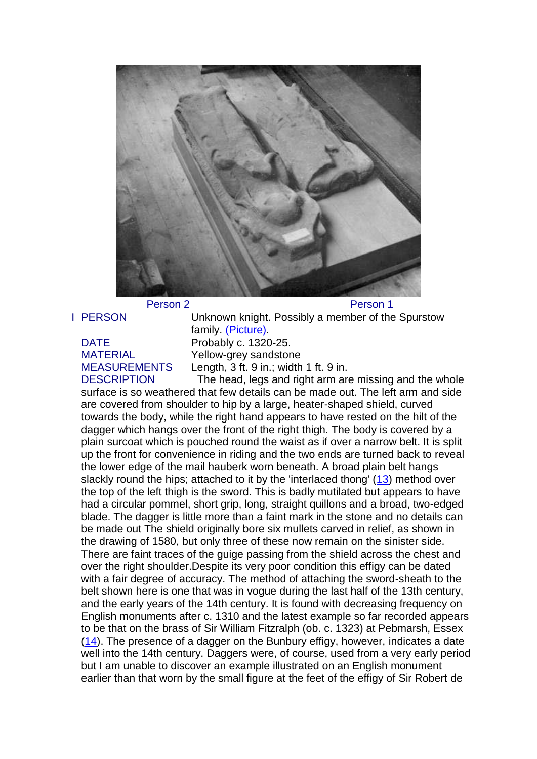

Person 2 Person 1

I PERSON Unknown knight. Possibly a member of the Spurstow family. [\(Picture\).](file:///C:/Users/matt/OneDrive/Documents/gemma/st%20boniface/Bunbury/papers/Effigies.htm%23anchor54043) DATE Probably c. 1320-25. MATERIAL Yellow-grey sandstone MEASUREMENTS Length, 3 ft. 9 in.; width 1 ft. 9 in.

DESCRIPTION The head, legs and right arm are missing and the whole surface is so weathered that few details can be made out. The left arm and side are covered from shoulder to hip by a large, heater-shaped shield, curved towards the body, while the right hand appears to have rested on the hilt of the dagger which hangs over the front of the right thigh. The body is covered by a plain surcoat which is pouched round the waist as if over a narrow belt. It is split up the front for convenience in riding and the two ends are turned back to reveal the lower edge of the mail hauberk worn beneath. A broad plain belt hangs slackly round the hips; attached to it by the 'interlaced thong' [\(13\)](file:///C:/Users/matt/OneDrive/Documents/gemma/st%20boniface/Bunbury/papers/Effigies.htm%23anchor278755) method over the top of the left thigh is the sword. This is badly mutilated but appears to have had a circular pommel, short grip, long, straight quillons and a broad, two-edged blade. The dagger is little more than a faint mark in the stone and no details can be made out The shield originally bore six mullets carved in relief, as shown in the drawing of 1580, but only three of these now remain on the sinister side. There are faint traces of the guige passing from the shield across the chest and over the right shoulder.Despite its very poor condition this effigy can be dated with a fair degree of accuracy. The method of attaching the sword-sheath to the belt shown here is one that was in vogue during the last half of the 13th century, and the early years of the 14th century. It is found with decreasing frequency on English monuments after c. 1310 and the latest example so far recorded appears to be that on the brass of Sir William Fitzralph (ob. c. 1323) at Pebmarsh, Essex [\(14\)](file:///C:/Users/matt/OneDrive/Documents/gemma/st%20boniface/Bunbury/papers/Effigies.htm%23anchor280907). The presence of a dagger on the Bunbury effigy, however, indicates a date well into the 14th century. Daggers were, of course, used from a very early period but I am unable to discover an example illustrated on an English monument earlier than that worn by the small figure at the feet of the effigy of Sir Robert de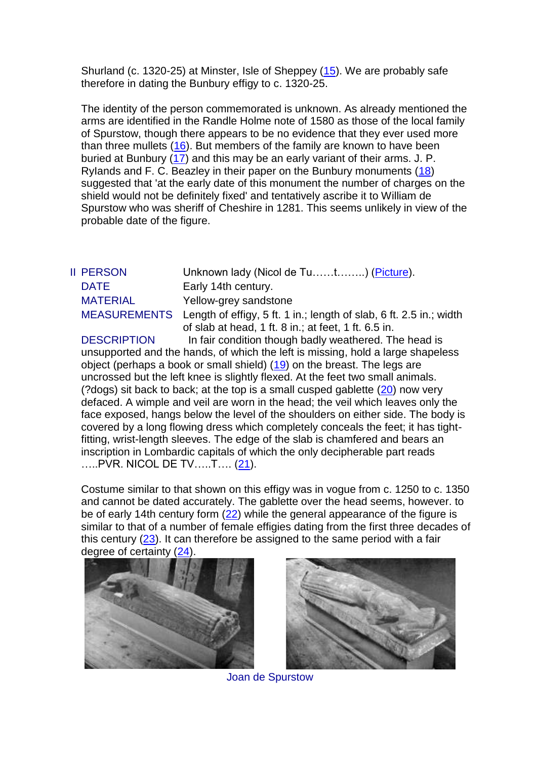Shurland (c. 1320-25) at Minster, Isle of Sheppey [\(15\)](file:///C:/Users/matt/OneDrive/Documents/gemma/st%20boniface/Bunbury/papers/Effigies.htm%23anchor282786). We are probably safe therefore in dating the Bunbury effigy to c. 1320-25.

The identity of the person commemorated is unknown. As already mentioned the arms are identified in the Randle Holme note of 1580 as those of the local family of Spurstow, though there appears to be no evidence that they ever used more than three mullets [\(16\)](file:///C:/Users/matt/OneDrive/Documents/gemma/st%20boniface/Bunbury/papers/Effigies.htm%23anchor358886). But members of the family are known to have been buried at Bunbury [\(17\)](file:///C:/Users/matt/OneDrive/Documents/gemma/st%20boniface/Bunbury/papers/Effigies.htm%23anchor360863) and this may be an early variant of their arms. J. P. RyIands and F. C. Beazley in their paper on the Bunbury monuments [\(18\)](file:///C:/Users/matt/OneDrive/Documents/gemma/st%20boniface/Bunbury/papers/Effigies.htm%23anchor362485) suggested that 'at the early date of this monument the number of charges on the shield would not be definitely fixed' and tentatively ascribe it to William de Spurstow who was sheriff of Cheshire in 1281. This seems unlikely in view of the probable date of the figure.

| I PERSON            |
|---------------------|
| DATE                |
| MATFRIAL            |
| <b>MEASUREMENTS</b> |
|                     |

II PERSON Unknown lady (Nicol de Tu……t……..) [\(Picture\)](file:///C:/Users/matt/OneDrive/Documents/gemma/st%20boniface/Bunbury/papers/Effigies.htm%23anchor99930). Early 14th century. Yellow-grey sandstone

S Length of effigy, 5 ft. 1 in.; length of slab, 6 ft. 2.5 in.; width of slab at head, 1 ft. 8 in.; at feet, 1 ft. 6.5 in. DESCRIPTION In fair condition though badly weathered. The head is

unsupported and the hands, of which the left is missing, hold a large shapeless object (perhaps a book or small shield) [\(19\)](file:///C:/Users/matt/OneDrive/Documents/gemma/st%20boniface/Bunbury/papers/Effigies.htm%23anchor365434) on the breast. The legs are uncrossed but the left knee is slightly flexed. At the feet two small animals. (?dogs) sit back to back; at the top is a small cusped gablette [\(20\)](file:///C:/Users/matt/OneDrive/Documents/gemma/st%20boniface/Bunbury/papers/Effigies.htm%23anchor367200) now very defaced. A wimple and veil are worn in the head; the veil which leaves only the face exposed, hangs below the level of the shoulders on either side. The body is covered by a long flowing dress which completely conceals the feet; it has tightfitting, wrist-length sleeves. The edge of the slab is chamfered and bears an inscription in Lombardic capitals of which the only decipherable part reads .....PVR. NICOL DE TV.....T.... [\(21\)](file:///C:/Users/matt/OneDrive/Documents/gemma/st%20boniface/Bunbury/papers/Effigies.htm%23anchor369184).

Costume similar to that shown on this effigy was in vogue from c. 1250 to c. 1350 and cannot be dated accurately. The gablette over the head seems, however. to be of early 14th century form [\(22\)](file:///C:/Users/matt/OneDrive/Documents/gemma/st%20boniface/Bunbury/papers/Effigies.htm%23anchor371103) while the general appearance of the figure is similar to that of a number of female effigies dating from the first three decades of this century  $(23)$ . It can therefore be assigned to the same period with a fair degree of certainty [\(24\)](file:///C:/Users/matt/OneDrive/Documents/gemma/st%20boniface/Bunbury/papers/Effigies.htm%23anchor374833).





Joan de Spurstow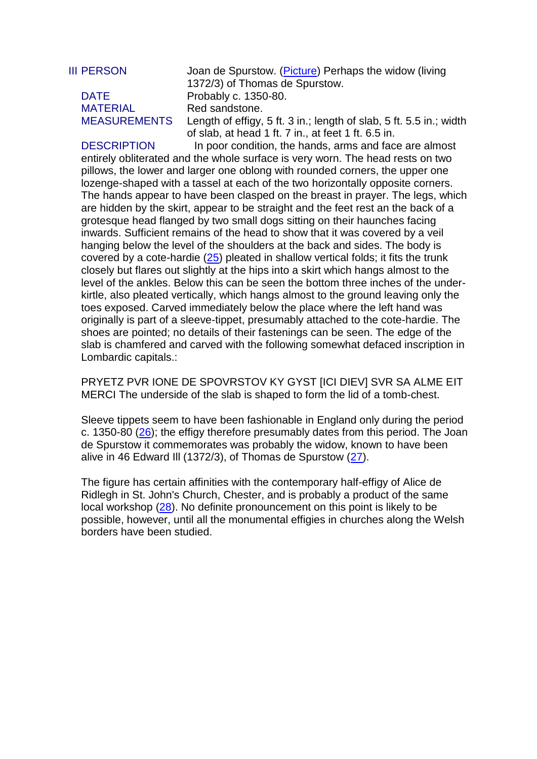# MATERIAL Red sandstone.

III PERSON Joan de Spurstow. [\(Picture\)](file:///C:/Users/matt/OneDrive/Documents/gemma/st%20boniface/Bunbury/papers/Effigies.htm%23anchor161675) Perhaps the widow (living 1372/3) of Thomas de Spurstow. DATE Probably c. 1350-80. MEASUREMENTS Length of effigy, 5 ft. 3 in.; length of slab, 5 ft. 5.5 in.; width of slab, at head 1 ft. 7 in., at feet 1 ft. 6.5 in.

DESCRIPTION In poor condition, the hands, arms and face are almost entirely obliterated and the whole surface is very worn. The head rests on two pillows, the lower and larger one oblong with rounded corners, the upper one lozenge-shaped with a tassel at each of the two horizontally opposite corners. The hands appear to have been clasped on the breast in prayer. The legs, which are hidden by the skirt, appear to be straight and the feet rest an the back of a grotesque head flanged by two small dogs sitting on their haunches facing inwards. Sufficient remains of the head to show that it was covered by a veil hanging below the level of the shoulders at the back and sides. The body is covered by a cote-hardie [\(25\)](file:///C:/Users/matt/OneDrive/Documents/gemma/st%20boniface/Bunbury/papers/Effigies.htm%23anchor378155) pleated in shallow vertical folds; it fits the trunk closely but flares out slightly at the hips into a skirt which hangs almost to the level of the ankles. Below this can be seen the bottom three inches of the underkirtle, also pleated vertically, which hangs almost to the ground leaving only the toes exposed. Carved immediately below the place where the left hand was originally is part of a sleeve-tippet, presumably attached to the cote-hardie. The shoes are pointed; no details of their fastenings can be seen. The edge of the slab is chamfered and carved with the following somewhat defaced inscription in Lombardic capitals.:

PRYETZ PVR IONE DE SPOVRSTOV KY GYST [ICI DIEV] SVR SA ALME EIT MERCI The underside of the slab is shaped to form the lid of a tomb-chest.

Sleeve tippets seem to have been fashionable in England only during the period c. 1350-80 [\(26\)](file:///C:/Users/matt/OneDrive/Documents/gemma/st%20boniface/Bunbury/papers/Effigies.htm%23anchor432165); the effigy therefore presumably dates from this period. The Joan de Spurstow it commemorates was probably the widow, known to have been alive in 46 Edward III (1372/3), of Thomas de Spurstow  $(27)$ .

The figure has certain affinities with the contemporary half-effigy of Alice de Ridlegh in St. John's Church, Chester, and is probably a product of the same local workshop [\(28\)](file:///C:/Users/matt/OneDrive/Documents/gemma/st%20boniface/Bunbury/papers/Effigies.htm%23anchor436219). No definite pronouncement on this point is likely to be possible, however, until all the monumental effigies in churches along the Welsh borders have been studied.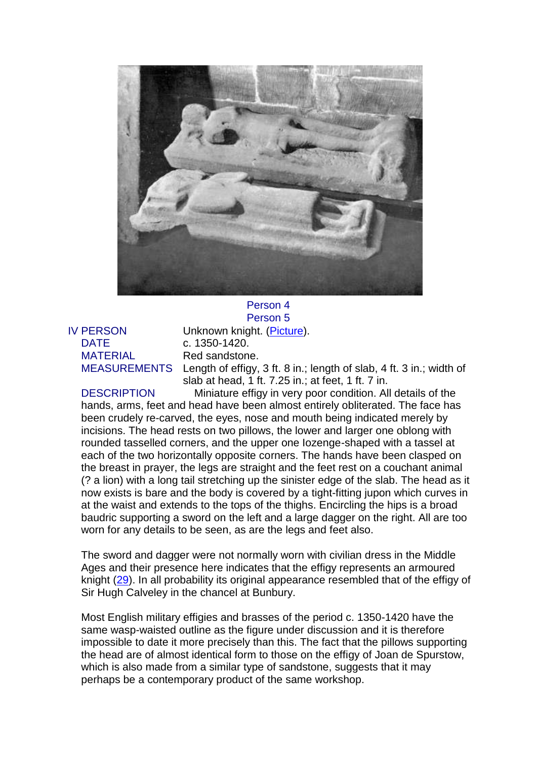

## DATE c. 1350-1420. MATERIAL Red sandstone.

Person 5 IV PERSON Unknown knight. [\(Picture\)](file:///C:/Users/matt/OneDrive/Documents/gemma/st%20boniface/Bunbury/papers/Effigies.htm%23anchor173268). MEASUREMENTS Length of effigy, 3 ft. 8 in.; length of slab, 4 ft. 3 in.; width of slab at head, 1 ft. 7.25 in.; at feet, 1 ft. 7 in.

DESCRIPTION Miniature effigy in very poor condition. All details of the hands, arms, feet and head have been almost entirely obliterated. The face has been crudely re-carved, the eyes, nose and mouth being indicated merely by incisions. The head rests on two pillows, the lower and larger one oblong with rounded tasselled corners, and the upper one Iozenge-shaped with a tassel at each of the two horizontally opposite corners. The hands have been clasped on the breast in prayer, the legs are straight and the feet rest on a couchant animal (? a lion) with a long tail stretching up the sinister edge of the slab. The head as it now exists is bare and the body is covered by a tight-fitting jupon which curves in at the waist and extends to the tops of the thighs. Encircling the hips is a broad baudric supporting a sword on the left and a large dagger on the right. All are too worn for any details to be seen, as are the legs and feet also.

The sword and dagger were not normally worn with civilian dress in the Middle Ages and their presence here indicates that the effigy represents an armoured knight [\(29\)](file:///C:/Users/matt/OneDrive/Documents/gemma/st%20boniface/Bunbury/papers/Effigies.htm%23anchor437982). In all probability its original appearance resembled that of the effigy of Sir Hugh Calveley in the chancel at Bunbury.

Most English military effigies and brasses of the period c. 1350-1420 have the same wasp-waisted outline as the figure under discussion and it is therefore impossible to date it more precisely than this. The fact that the pillows supporting the head are of almost identical form to those on the effigy of Joan de Spurstow, which is also made from a similar type of sandstone, suggests that it may perhaps be a contemporary product of the same workshop.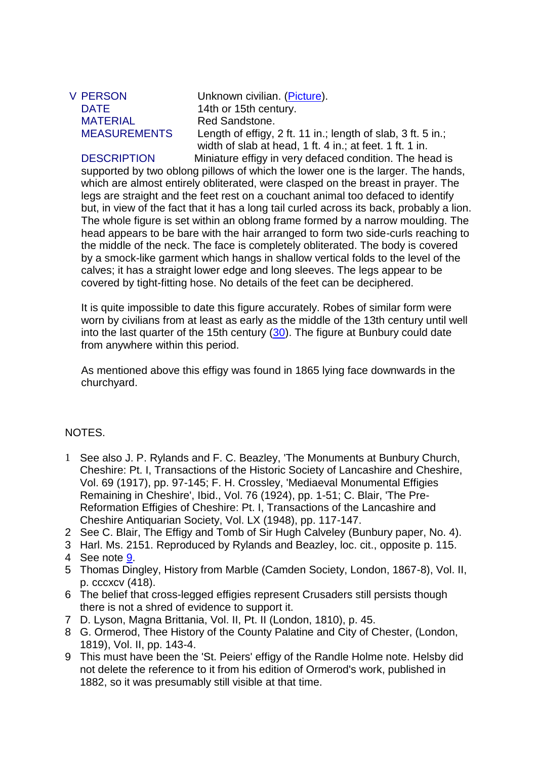MATERIAL Red Sandstone.

V PERSON Unknown civilian. [\(Picture\)](file:///C:/Users/matt/OneDrive/Documents/gemma/st%20boniface/Bunbury/papers/Effigies.htm%23anchor173268). DATE 14th or 15th century. MEASUREMENTS Length of effigy, 2 ft. 11 in.; length of slab, 3 ft. 5 in.; width of slab at head, 1 ft. 4 in.; at feet. 1 ft. 1 in. DESCRIPTION Miniature effigy in very defaced condition. The head is

supported by two oblong pillows of which the lower one is the larger. The hands, which are almost entirely obliterated, were clasped on the breast in prayer. The legs are straight and the feet rest on a couchant animal too defaced to identify but, in view of the fact that it has a long tail curled across its back, probably a lion. The whole figure is set within an oblong frame formed by a narrow moulding. The head appears to be bare with the hair arranged to form two side-curls reaching to the middle of the neck. The face is completely obliterated. The body is covered by a smock-like garment which hangs in shallow vertical folds to the level of the calves; it has a straight lower edge and long sleeves. The legs appear to be covered by tight-fitting hose. No details of the feet can be deciphered.

It is quite impossible to date this figure accurately. Robes of similar form were worn by civilians from at least as early as the middle of the 13th century until well into the last quarter of the 15th century [\(30\)](file:///C:/Users/matt/OneDrive/Documents/gemma/st%20boniface/Bunbury/papers/Effigies.htm%23anchor440332). The figure at Bunbury could date from anywhere within this period.

As mentioned above this effigy was found in 1865 lying face downwards in the churchyard.

## NOTES.

- 1 See also J. P. Rylands and F. C. Beazley, 'The Monuments at Bunbury Church, Cheshire: Pt. I, Transactions of the Historic Society of Lancashire and Cheshire, Vol. 69 (1917), pp. 97-145; F. H. Crossley, 'Mediaeval Monumental Effigies Remaining in Cheshire', Ibid., Vol. 76 (1924), pp. 1-51; C. Blair, 'The Pre-Reformation Effigies of Cheshire: Pt. I, Transactions of the Lancashire and Cheshire Antiquarian Society, Vol. LX (1948), pp. 117-147.
- 2 See C. Blair, The Effigy and Tomb of Sir Hugh Calveley (Bunbury paper, No. 4).
- 3 Harl. Ms. 2151. Reproduced by Rylands and Beazley, loc. cit., opposite p. 115.
- 4 See note [9.](file:///C:/Users/matt/OneDrive/Documents/gemma/st%20boniface/Bunbury/papers/Effigies.htm%23anchor266014)
- 5 Thomas Dingley, History from Marble (Camden Society, London, 1867-8), Vol. II, p. cccxcv (418).
- 6 The belief that cross-legged effigies represent Crusaders still persists though there is not a shred of evidence to support it.
- 7 D. Lyson, Magna Brittania, Vol. II, Pt. II (London, 1810), p. 45.
- 8 G. Ormerod, Thee History of the County Palatine and City of Chester, (London, 1819), Vol. II, pp. 143-4.
- 9 This must have been the 'St. Peiers' effigy of the Randle Holme note. Helsby did not delete the reference to it from his edition of Ormerod's work, published in 1882, so it was presumably still visible at that time.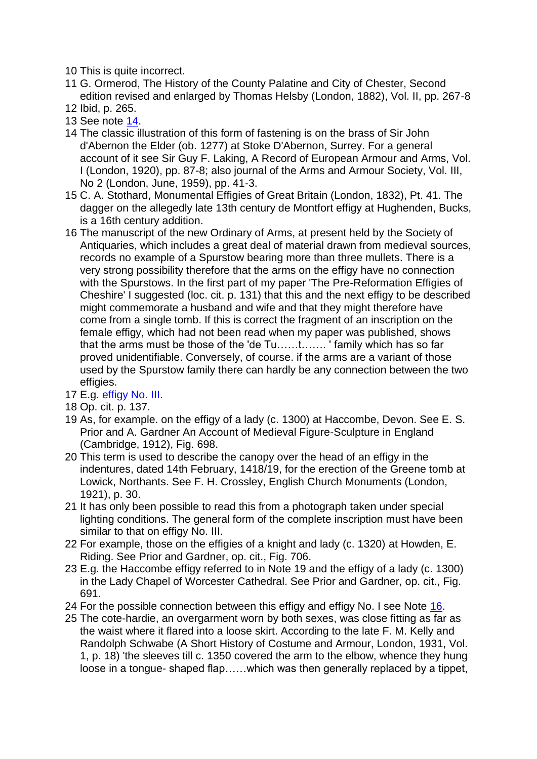10 This is quite incorrect.

- 11 G. Ormerod, The History of the County Palatine and City of Chester, Second edition revised and enlarged by Thomas Helsby (London, 1882), Vol. II, pp. 267-8
- 12 Ibid, p. 265.
- 13 See note [14.](file:///C:/Users/matt/OneDrive/Documents/gemma/st%20boniface/Bunbury/papers/Effigies.htm%23anchor280907)
- 14 The classic illustration of this form of fastening is on the brass of Sir John d'Abernon the Elder (ob. 1277) at Stoke D'Abernon, Surrey. For a general account of it see Sir Guy F. Laking, A Record of European Armour and Arms, Vol. I (London, 1920), pp. 87-8; also journal of the Arms and Armour Society, Vol. III, No 2 (London, June, 1959), pp. 41-3.
- 15 C. A. Stothard, Monumental Effigies of Great Britain (London, 1832), Pt. 41. The dagger on the allegedly late 13th century de Montfort effigy at Hughenden, Bucks, is a 16th century addition.
- 16 The manuscript of the new Ordinary of Arms, at present held by the Society of Antiquaries, which includes a great deal of material drawn from medieval sources, records no example of a Spurstow bearing more than three mullets. There is a very strong possibility therefore that the arms on the effigy have no connection with the Spurstows. In the first part of my paper 'The Pre-Reformation Effigies of Cheshire' I suggested (loc. cit. p. 131) that this and the next effigy to be described might commemorate a husband and wife and that they might therefore have come from a single tomb. If this is correct the fragment of an inscription on the female effigy, which had not been read when my paper was published, shows that the arms must be those of the 'de Tu……t……. ' family which has so far proved unidentifiable. Conversely, of course. if the arms are a variant of those used by the Spurstow family there can hardly be any connection between the two effigies.
- 17 E.g. [effigy No. III.](file:///C:/Users/matt/OneDrive/Documents/gemma/st%20boniface/Bunbury/papers/Effigies.htm%23anchor478579)
- 18 Op. cit. p. 137.
- 19 As, for example. on the effigy of a lady (c. 1300) at Haccombe, Devon. See E. S. Prior and A. Gardner An Account of Medieval Figure-Sculpture in England (Cambridge, 1912), Fig. 698.
- 20 This term is used to describe the canopy over the head of an effigy in the indentures, dated 14th February, 1418/19, for the erection of the Greene tomb at Lowick, Northants. See F. H. Crossley, English Church Monuments (London, 1921), p. 30.
- 21 It has only been possible to read this from a photograph taken under special lighting conditions. The general form of the complete inscription must have been similar to that on effigy No. III.
- 22 For example, those on the effigies of a knight and lady (c. 1320) at Howden, E. Riding. See Prior and Gardner, op. cit., Fig. 706.
- 23 E.g. the Haccombe effigy referred to in Note 19 and the effigy of a lady (c. 1300) in the Lady Chapel of Worcester Cathedral. See Prior and Gardner, op. cit., Fig. 691.
- 24 For the possible connection between this effigy and effigy No. I see Note [16.](file:///C:/Users/matt/OneDrive/Documents/gemma/st%20boniface/Bunbury/papers/Effigies.htm%23anchor358886)
- 25 The cote-hardie, an overgarment worn by both sexes, was close fitting as far as the waist where it flared into a loose skirt. According to the late F. M. Kelly and Randolph Schwabe (A Short History of Costume and Armour, London, 1931, Vol. 1, p. 18) 'the sleeves till c. 1350 covered the arm to the elbow, whence they hung loose in a tongue- shaped flap……which was then generally replaced by a tippet,